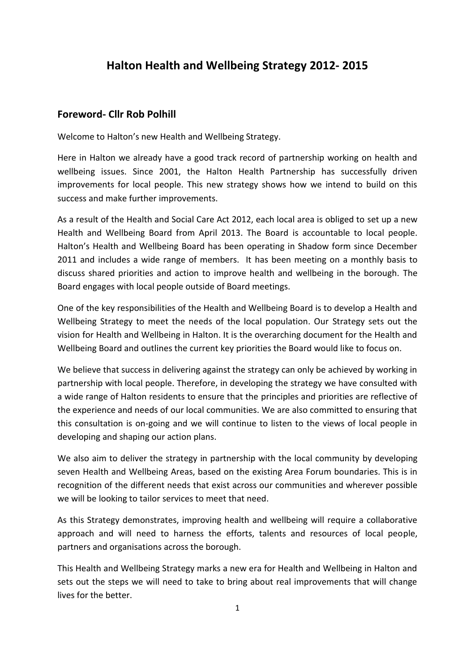# **Halton Health and Wellbeing Strategy 2012- 2015**

#### **Foreword- Cllr Rob Polhill**

Welcome to Halton's new Health and Wellbeing Strategy.

Here in Halton we already have a good track record of partnership working on health and wellbeing issues. Since 2001, the Halton Health Partnership has successfully driven improvements for local people. This new strategy shows how we intend to build on this success and make further improvements.

As a result of the Health and Social Care Act 2012, each local area is obliged to set up a new Health and Wellbeing Board from April 2013. The Board is accountable to local people. Halton's Health and Wellbeing Board has been operating in Shadow form since December 2011 and includes a wide range of members. It has been meeting on a monthly basis to discuss shared priorities and action to improve health and wellbeing in the borough. The Board engages with local people outside of Board meetings.

One of the key responsibilities of the Health and Wellbeing Board is to develop a Health and Wellbeing Strategy to meet the needs of the local population. Our Strategy sets out the vision for Health and Wellbeing in Halton. It is the overarching document for the Health and Wellbeing Board and outlines the current key priorities the Board would like to focus on.

We believe that success in delivering against the strategy can only be achieved by working in partnership with local people. Therefore, in developing the strategy we have consulted with a wide range of Halton residents to ensure that the principles and priorities are reflective of the experience and needs of our local communities. We are also committed to ensuring that this consultation is on-going and we will continue to listen to the views of local people in developing and shaping our action plans.

We also aim to deliver the strategy in partnership with the local community by developing seven Health and Wellbeing Areas, based on the existing Area Forum boundaries. This is in recognition of the different needs that exist across our communities and wherever possible we will be looking to tailor services to meet that need.

As this Strategy demonstrates, improving health and wellbeing will require a collaborative approach and will need to harness the efforts, talents and resources of local people, partners and organisations across the borough.

This Health and Wellbeing Strategy marks a new era for Health and Wellbeing in Halton and sets out the steps we will need to take to bring about real improvements that will change lives for the better.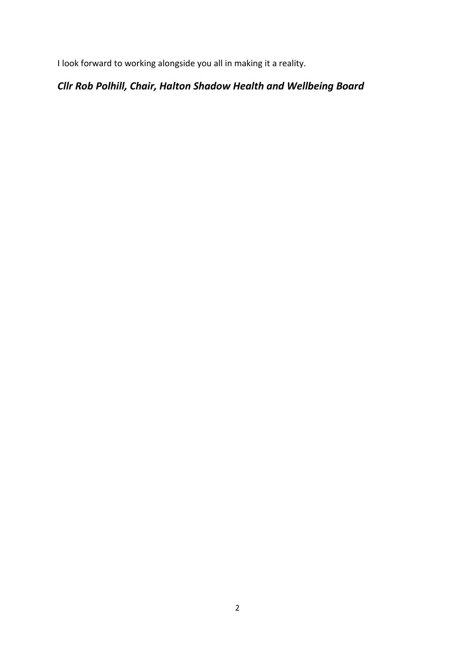I look forward to working alongside you all in making it a reality.

# *Cllr Rob Polhill, Chair, Halton Shadow Health and Wellbeing Board*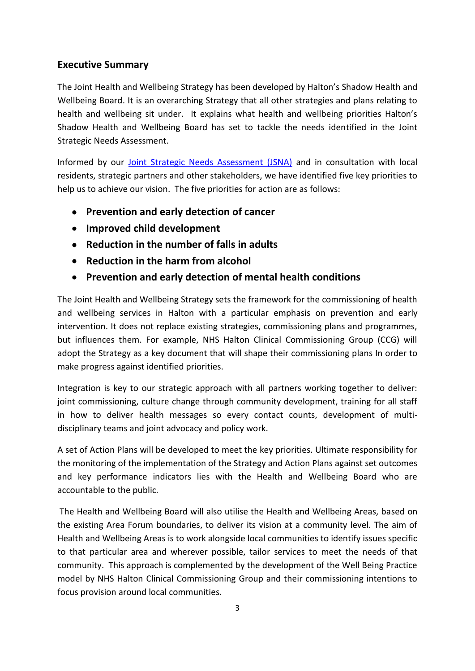# **Executive Summary**

The Joint Health and Wellbeing Strategy has been developed by Halton's Shadow Health and Wellbeing Board. It is an overarching Strategy that all other strategies and plans relating to health and wellbeing sit under. It explains what health and wellbeing priorities Halton's Shadow Health and Wellbeing Board has set to tackle the needs identified in the Joint Strategic Needs Assessment.

Informed by our [Joint Strategic Needs Assessment \(JSNA\)](http://www.haltonandsthelenspct.nhs.uk/pages/YourHealth.aspx?iPageId=12569) and in consultation with local residents, strategic partners and other stakeholders, we have identified five key priorities to help us to achieve our vision. The five priorities for action are as follows:

- **Prevention and early detection of cancer**
- **Improved child development**
- **Reduction in the number of falls in adults**
- **Reduction in the harm from alcohol**
- **Prevention and early detection of mental health conditions**

The Joint Health and Wellbeing Strategy sets the framework for the commissioning of health and wellbeing services in Halton with a particular emphasis on prevention and early intervention. It does not replace existing strategies, commissioning plans and programmes, but influences them. For example, NHS Halton Clinical Commissioning Group (CCG) will adopt the Strategy as a key document that will shape their commissioning plans In order to make progress against identified priorities.

Integration is key to our strategic approach with all partners working together to deliver: joint commissioning, culture change through community development, training for all staff in how to deliver health messages so every contact counts, development of multidisciplinary teams and joint advocacy and policy work.

A set of Action Plans will be developed to meet the key priorities. Ultimate responsibility for the monitoring of the implementation of the Strategy and Action Plans against set outcomes and key performance indicators lies with the Health and Wellbeing Board who are accountable to the public.

The Health and Wellbeing Board will also utilise the Health and Wellbeing Areas, based on the existing Area Forum boundaries, to deliver its vision at a community level. The aim of Health and Wellbeing Areas is to work alongside local communities to identify issues specific to that particular area and wherever possible, tailor services to meet the needs of that community. This approach is complemented by the development of the Well Being Practice model by NHS Halton Clinical Commissioning Group and their commissioning intentions to focus provision around local communities.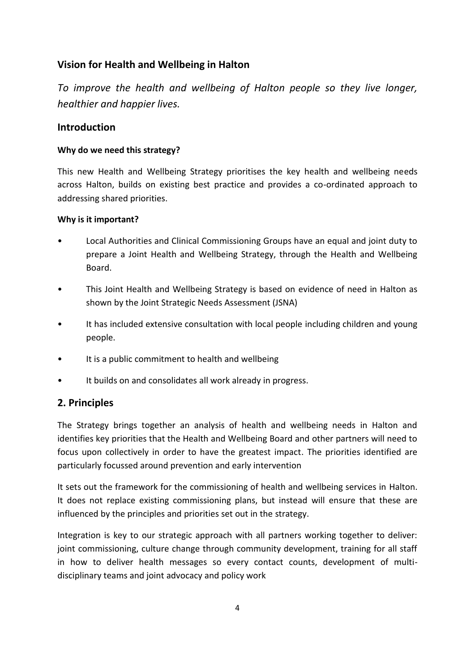# **Vision for Health and Wellbeing in Halton**

*To improve the health and wellbeing of Halton people so they live longer, healthier and happier lives.*

# **Introduction**

## **Why do we need this strategy?**

This new Health and Wellbeing Strategy prioritises the key health and wellbeing needs across Halton, builds on existing best practice and provides a co-ordinated approach to addressing shared priorities.

#### **Why is it important?**

- Local Authorities and Clinical Commissioning Groups have an equal and joint duty to prepare a Joint Health and Wellbeing Strategy, through the Health and Wellbeing Board.
- This Joint Health and Wellbeing Strategy is based on evidence of need in Halton as shown by the Joint Strategic Needs Assessment (JSNA)
- It has included extensive consultation with local people including children and young people.
- It is a public commitment to health and wellbeing
- It builds on and consolidates all work already in progress.

# **2. Principles**

The Strategy brings together an analysis of health and wellbeing needs in Halton and identifies key priorities that the Health and Wellbeing Board and other partners will need to focus upon collectively in order to have the greatest impact. The priorities identified are particularly focussed around prevention and early intervention

It sets out the framework for the commissioning of health and wellbeing services in Halton. It does not replace existing commissioning plans, but instead will ensure that these are influenced by the principles and priorities set out in the strategy.

Integration is key to our strategic approach with all partners working together to deliver: joint commissioning, culture change through community development, training for all staff in how to deliver health messages so every contact counts, development of multidisciplinary teams and joint advocacy and policy work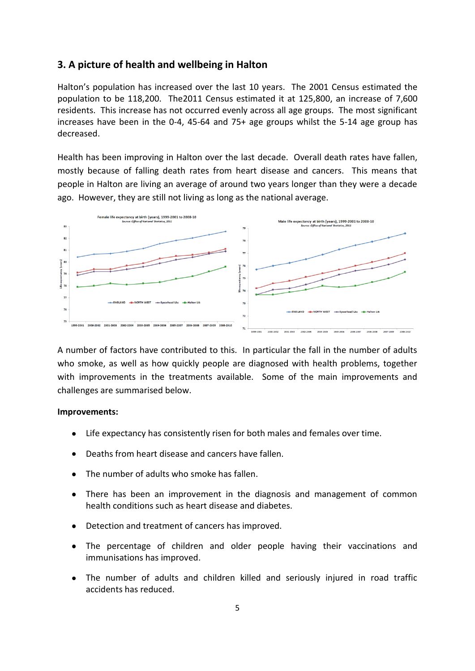#### **3. A picture of health and wellbeing in Halton**

Halton's population has increased over the last 10 years. The 2001 Census estimated the population to be 118,200. The2011 Census estimated it at 125,800, an increase of 7,600 residents. This increase has not occurred evenly across all age groups. The most significant increases have been in the 0-4, 45-64 and 75+ age groups whilst the 5-14 age group has decreased.

Health has been improving in Halton over the last decade. Overall death rates have fallen, mostly because of falling death rates from heart disease and cancers. This means that people in Halton are living an average of around two years longer than they were a decade ago. However, they are still not living as long as the national average.



A number of factors have contributed to this. In particular the fall in the number of adults who smoke, as well as how quickly people are diagnosed with health problems, together with improvements in the treatments available. Some of the main improvements and challenges are summarised below.

#### **Improvements:**

- $\bullet$ Life expectancy has consistently risen for both males and females over time.
- Deaths from heart disease and cancers have fallen.
- The number of adults who smoke has fallen.
- There has been an improvement in the diagnosis and management of common health conditions such as heart disease and diabetes.
- Detection and treatment of cancers has improved.
- The percentage of children and older people having their vaccinations and immunisations has improved.
- The number of adults and children killed and seriously injured in road traffic accidents has reduced.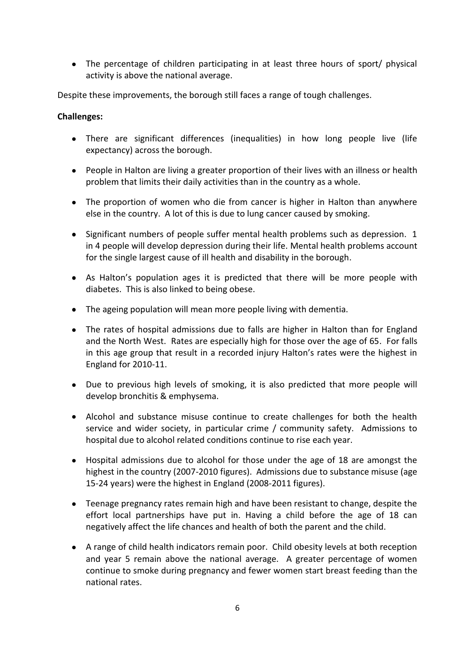The percentage of children participating in at least three hours of sport/ physical activity is above the national average.

Despite these improvements, the borough still faces a range of tough challenges.

#### **Challenges:**

- There are significant differences (inequalities) in how long people live (life expectancy) across the borough.
- People in Halton are living a greater proportion of their lives with an illness or health problem that limits their daily activities than in the country as a whole.
- The proportion of women who die from cancer is higher in Halton than anywhere else in the country. A lot of this is due to lung cancer caused by smoking.
- Significant numbers of people suffer mental health problems such as depression. 1 in 4 people will develop depression during their life. Mental health problems account for the single largest cause of ill health and disability in the borough.
- As Halton's population ages it is predicted that there will be more people with diabetes. This is also linked to being obese.
- The ageing population will mean more people living with dementia.
- The rates of hospital admissions due to falls are higher in Halton than for England and the North West. Rates are especially high for those over the age of 65. For falls in this age group that result in a recorded injury Halton's rates were the highest in England for 2010-11.
- Due to previous high levels of smoking, it is also predicted that more people will develop bronchitis & emphysema.
- Alcohol and substance misuse continue to create challenges for both the health service and wider society, in particular crime / community safety. Admissions to hospital due to alcohol related conditions continue to rise each year.
- Hospital admissions due to alcohol for those under the age of 18 are amongst the highest in the country (2007-2010 figures). Admissions due to substance misuse (age 15-24 years) were the highest in England (2008-2011 figures).
- Teenage pregnancy rates remain high and have been resistant to change, despite the effort local partnerships have put in. Having a child before the age of 18 can negatively affect the life chances and health of both the parent and the child.
- A range of child health indicators remain poor. Child obesity levels at both reception and year 5 remain above the national average. A greater percentage of women continue to smoke during pregnancy and fewer women start breast feeding than the national rates.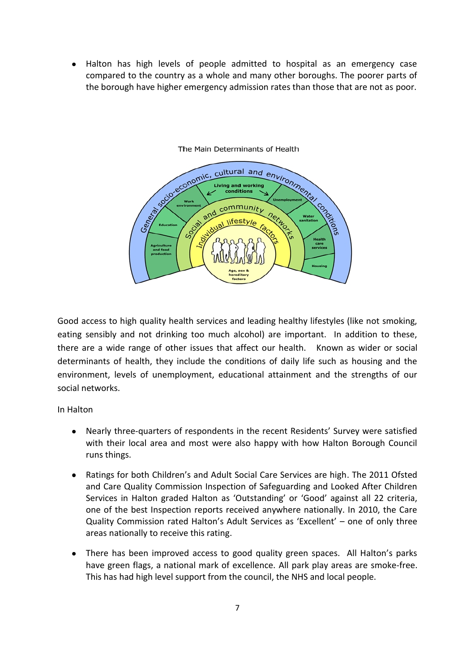Halton has high levels of people admitted to hospital as an emergency case compared to the country as a whole and many other boroughs. The poorer parts of the borough have higher emergency admission rates than those that are not as poor.



#### The Main Determinants of Health

Good access to high quality health services and leading healthy lifestyles (like not smoking, eating sensibly and not drinking too much alcohol) are important. In addition to these, there are a wide range of other issues that affect our health. Known as wider or social determinants of health, they include the conditions of daily life such as housing and the environment, levels of unemployment, educational attainment and the strengths of our social networks.

In Halton

- Nearly three-quarters of respondents in the recent Residents' Survey were satisfied with their local area and most were also happy with how Halton Borough Council runs things.
- Ratings for both Children's and Adult Social Care Services are high. The 2011 Ofsted and Care Quality Commission Inspection of Safeguarding and Looked After Children Services in Halton graded Halton as 'Outstanding' or 'Good' against all 22 criteria, one of the best Inspection reports received anywhere nationally. In 2010, the Care Quality Commission rated Halton's Adult Services as 'Excellent' – one of only three areas nationally to receive this rating.
- There has been improved access to good quality green spaces. All Halton's parks have green flags, a national mark of excellence. All park play areas are smoke-free. This has had high level support from the council, the NHS and local people.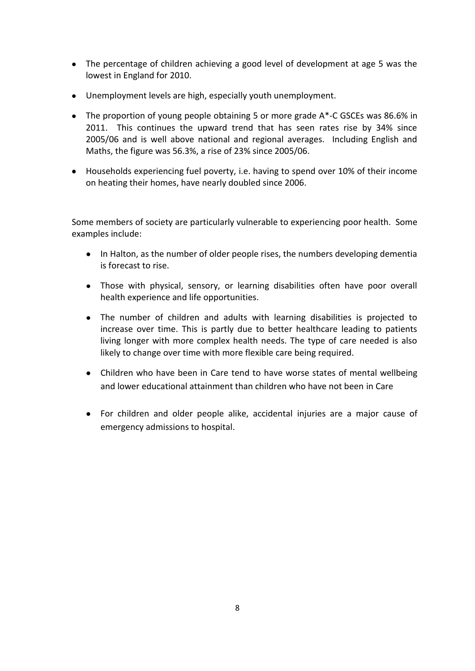- The percentage of children achieving a good level of development at age 5 was the lowest in England for 2010.
- Unemployment levels are high, especially youth unemployment.
- The proportion of young people obtaining 5 or more grade A\*-C GSCEs was 86.6% in 2011. This continues the upward trend that has seen rates rise by 34% since 2005/06 and is well above national and regional averages. Including English and Maths, the figure was 56.3%, a rise of 23% since 2005/06.
- Households experiencing fuel poverty, i.e. having to spend over 10% of their income on heating their homes, have nearly doubled since 2006.

Some members of society are particularly vulnerable to experiencing poor health. Some examples include:

- In Halton, as the number of older people rises, the numbers developing dementia is forecast to rise.
- Those with physical, sensory, or learning disabilities often have poor overall health experience and life opportunities.
- The number of children and adults with learning disabilities is projected to increase over time. This is partly due to better healthcare leading to patients living longer with more complex health needs. The type of care needed is also likely to change over time with more flexible care being required.
- Children who have been in Care tend to have worse states of mental wellbeing and lower educational attainment than children who have not been in Care
- For children and older people alike, accidental injuries are a major cause of emergency admissions to hospital.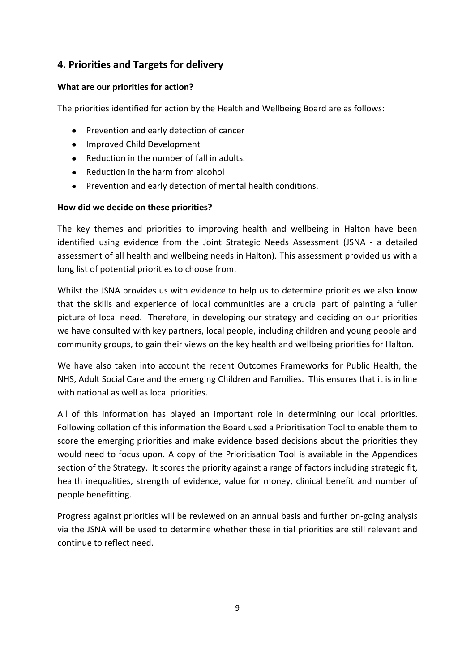# **4. Priorities and Targets for delivery**

## **What are our priorities for action?**

The priorities identified for action by the Health and Wellbeing Board are as follows:

- Prevention and early detection of cancer
- Improved Child Development
- Reduction in the number of fall in adults.
- Reduction in the harm from alcohol
- Prevention and early detection of mental health conditions.  $\bullet$

# **How did we decide on these priorities?**

The key themes and priorities to improving health and wellbeing in Halton have been identified using evidence from the Joint Strategic Needs Assessment (JSNA - a detailed assessment of all health and wellbeing needs in Halton). This assessment provided us with a long list of potential priorities to choose from.

Whilst the JSNA provides us with evidence to help us to determine priorities we also know that the skills and experience of local communities are a crucial part of painting a fuller picture of local need. Therefore, in developing our strategy and deciding on our priorities we have consulted with key partners, local people, including children and young people and community groups, to gain their views on the key health and wellbeing priorities for Halton.

We have also taken into account the recent Outcomes Frameworks for Public Health, the NHS, Adult Social Care and the emerging Children and Families. This ensures that it is in line with national as well as local priorities.

All of this information has played an important role in determining our local priorities. Following collation of this information the Board used a Prioritisation Tool to enable them to score the emerging priorities and make evidence based decisions about the priorities they would need to focus upon. A copy of the Prioritisation Tool is available in the Appendices section of the Strategy. It scores the priority against a range of factors including strategic fit, health inequalities, strength of evidence, value for money, clinical benefit and number of people benefitting.

Progress against priorities will be reviewed on an annual basis and further on-going analysis via the JSNA will be used to determine whether these initial priorities are still relevant and continue to reflect need.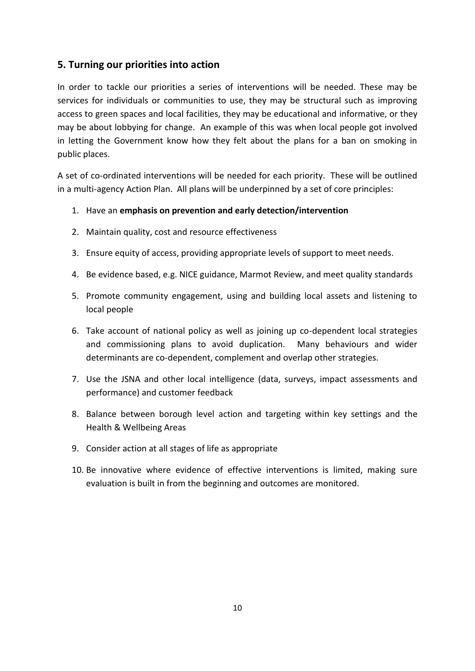# **5. Turning our priorities into action**

In order to tackle our priorities a series of interventions will be needed. These may be services for individuals or communities to use, they may be structural such as improving access to green spaces and local facilities, they may be educational and informative, or they may be about lobbying for change. An example of this was when local people got involved in letting the Government know how they felt about the plans for a ban on smoking in public places.

A set of co-ordinated interventions will be needed for each priority. These will be outlined in a multi-agency Action Plan. All plans will be underpinned by a set of core principles:

- 1. Have an **emphasis on prevention and early detection/intervention**
- 2. Maintain quality, cost and resource effectiveness
- 3. Ensure equity of access, providing appropriate levels of support to meet needs.
- 4. Be evidence based, e.g. NICE guidance, Marmot Review, and meet quality standards
- 5. Promote community engagement, using and building local assets and listening to local people
- 6. Take account of national policy as well as joining up co-dependent local strategies and commissioning plans to avoid duplication. Many behaviours and wider determinants are co-dependent, complement and overlap other strategies.
- 7. Use the JSNA and other local intelligence (data, surveys, impact assessments and performance) and customer feedback
- 8. Balance between borough level action and targeting within key settings and the Health & Wellbeing Areas
- 9. Consider action at all stages of life as appropriate
- 10. Be innovative where evidence of effective interventions is limited, making sure evaluation is built in from the beginning and outcomes are monitored.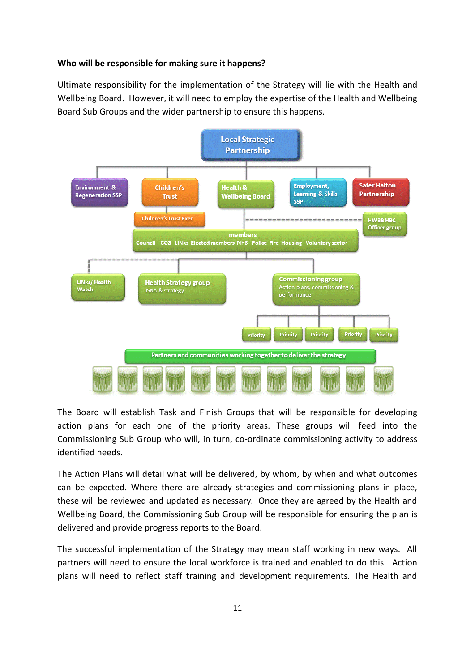#### **Who will be responsible for making sure it happens?**

Ultimate responsibility for the implementation of the Strategy will lie with the Health and Wellbeing Board. However, it will need to employ the expertise of the Health and Wellbeing Board Sub Groups and the wider partnership to ensure this happens.



The Board will establish Task and Finish Groups that will be responsible for developing action plans for each one of the priority areas. These groups will feed into the Commissioning Sub Group who will, in turn, co-ordinate commissioning activity to address identified needs.

The Action Plans will detail what will be delivered, by whom, by when and what outcomes can be expected. Where there are already strategies and commissioning plans in place, these will be reviewed and updated as necessary. Once they are agreed by the Health and Wellbeing Board, the Commissioning Sub Group will be responsible for ensuring the plan is delivered and provide progress reports to the Board.

The successful implementation of the Strategy may mean staff working in new ways. All partners will need to ensure the local workforce is trained and enabled to do this. Action plans will need to reflect staff training and development requirements. The Health and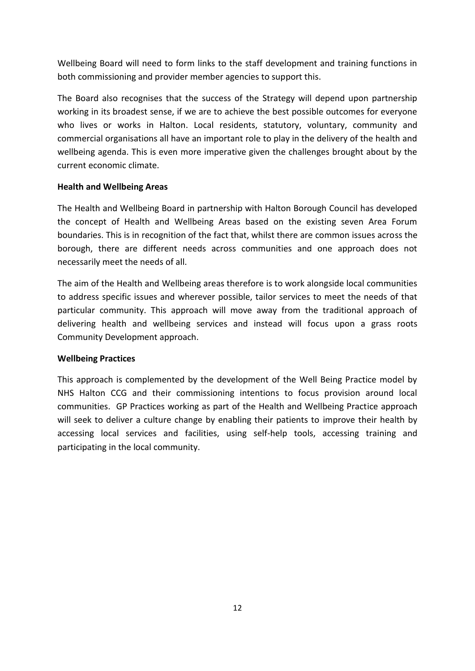Wellbeing Board will need to form links to the staff development and training functions in both commissioning and provider member agencies to support this.

The Board also recognises that the success of the Strategy will depend upon partnership working in its broadest sense, if we are to achieve the best possible outcomes for everyone who lives or works in Halton. Local residents, statutory, voluntary, community and commercial organisations all have an important role to play in the delivery of the health and wellbeing agenda. This is even more imperative given the challenges brought about by the current economic climate.

#### **Health and Wellbeing Areas**

The Health and Wellbeing Board in partnership with Halton Borough Council has developed the concept of Health and Wellbeing Areas based on the existing seven Area Forum boundaries. This is in recognition of the fact that, whilst there are common issues across the borough, there are different needs across communities and one approach does not necessarily meet the needs of all.

The aim of the Health and Wellbeing areas therefore is to work alongside local communities to address specific issues and wherever possible, tailor services to meet the needs of that particular community. This approach will move away from the traditional approach of delivering health and wellbeing services and instead will focus upon a grass roots Community Development approach.

#### **Wellbeing Practices**

This approach is complemented by the development of the Well Being Practice model by NHS Halton CCG and their commissioning intentions to focus provision around local communities. GP Practices working as part of the Health and Wellbeing Practice approach will seek to deliver a culture change by enabling their patients to improve their health by accessing local services and facilities, using self-help tools, accessing training and participating in the local community.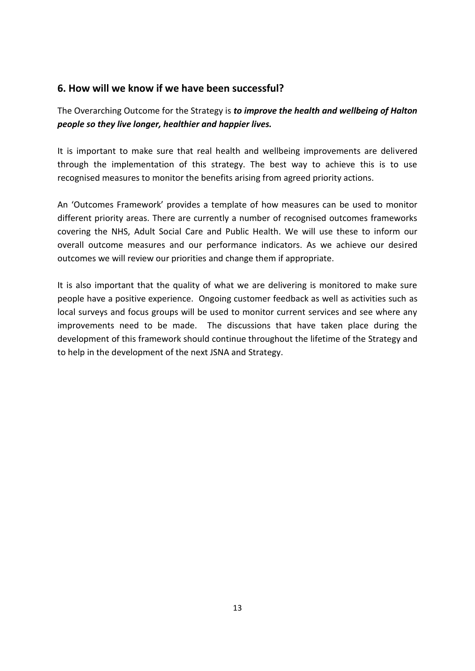# **6. How will we know if we have been successful?**

The Overarching Outcome for the Strategy is *to improve the health and wellbeing of Halton people so they live longer, healthier and happier lives.*

It is important to make sure that real health and wellbeing improvements are delivered through the implementation of this strategy. The best way to achieve this is to use recognised measures to monitor the benefits arising from agreed priority actions.

An 'Outcomes Framework' provides a template of how measures can be used to monitor different priority areas. There are currently a number of recognised outcomes frameworks covering the NHS, Adult Social Care and Public Health. We will use these to inform our overall outcome measures and our performance indicators. As we achieve our desired outcomes we will review our priorities and change them if appropriate.

It is also important that the quality of what we are delivering is monitored to make sure people have a positive experience. Ongoing customer feedback as well as activities such as local surveys and focus groups will be used to monitor current services and see where any improvements need to be made. The discussions that have taken place during the development of this framework should continue throughout the lifetime of the Strategy and to help in the development of the next JSNA and Strategy.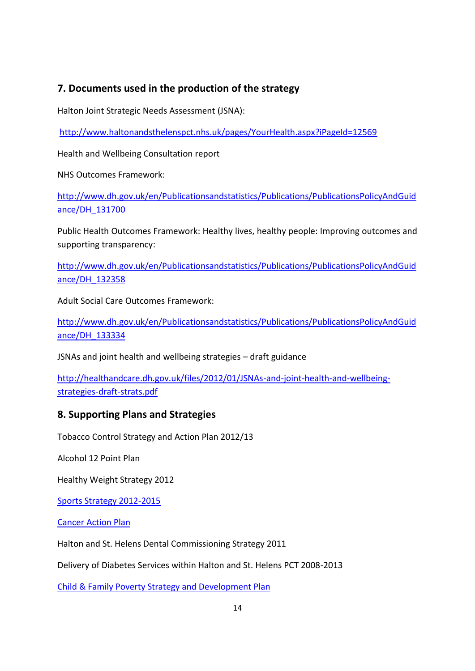# **7. Documents used in the production of the strategy**

Halton Joint Strategic Needs Assessment (JSNA):

<http://www.haltonandsthelenspct.nhs.uk/pages/YourHealth.aspx?iPageId=12569>

Health and Wellbeing Consultation report

NHS Outcomes Framework:

[http://www.dh.gov.uk/en/Publicationsandstatistics/Publications/PublicationsPolicyAndGuid](http://www.dh.gov.uk/en/Publicationsandstatistics/Publications/PublicationsPolicyAndGuidance/DH_131700) [ance/DH\\_131700](http://www.dh.gov.uk/en/Publicationsandstatistics/Publications/PublicationsPolicyAndGuidance/DH_131700)

Public Health Outcomes Framework: Healthy lives, healthy people: Improving outcomes and supporting transparency:

[http://www.dh.gov.uk/en/Publicationsandstatistics/Publications/PublicationsPolicyAndGuid](http://www.dh.gov.uk/en/Publicationsandstatistics/Publications/PublicationsPolicyAndGuidance/DH_132358) [ance/DH\\_132358](http://www.dh.gov.uk/en/Publicationsandstatistics/Publications/PublicationsPolicyAndGuidance/DH_132358)

Adult Social Care Outcomes Framework:

[http://www.dh.gov.uk/en/Publicationsandstatistics/Publications/PublicationsPolicyAndGuid](http://www.dh.gov.uk/en/Publicationsandstatistics/Publications/PublicationsPolicyAndGuidance/DH_133334) [ance/DH\\_133334](http://www.dh.gov.uk/en/Publicationsandstatistics/Publications/PublicationsPolicyAndGuidance/DH_133334)

JSNAs and joint health and wellbeing strategies – draft guidance

[http://healthandcare.dh.gov.uk/files/2012/01/JSNAs-and-joint-health-and-wellbeing](http://healthandcare.dh.gov.uk/files/2012/01/JSNAs-and-joint-health-and-wellbeing-strategies-draft-strats.pdf)[strategies-draft-strats.pdf](http://healthandcare.dh.gov.uk/files/2012/01/JSNAs-and-joint-health-and-wellbeing-strategies-draft-strats.pdf)

# **8. Supporting Plans and Strategies**

Tobacco Control Strategy and Action Plan 2012/13

Alcohol 12 Point Plan

Healthy Weight Strategy 2012

[Sports Strategy 2012-2015](http://moderngov.halton.gov.uk/mgConvert2PDF.aspx?ID=15235)

[Cancer Action Plan](http://www.haltonandsthelenspct.nhs.uk/library/documents/HTSHcanceractionplanapril2011.pdf)

Halton and St. Helens Dental Commissioning Strategy 2011

Delivery of Diabetes Services within Halton and St. Helens PCT 2008-2013

[Child & Family Poverty Strategy and Development Plan](http://www3.halton.gov.uk/lgnl/pages/86821/86827/174277/HALTON_CHILD__FAMILY_POVERTY_STRATEGY_2011-13.pdf)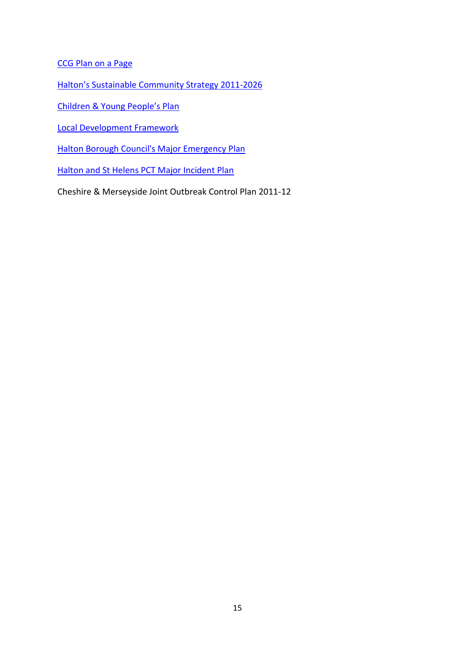[CCG Plan on a Page](http://councillors.halton.gov.uk/documents/s25677/Halton%20CCG%20PoP%20March%202012.doc.pdf)

[Halton's Sustainable Community Strategy 2011](http://www3.halton.gov.uk/councilanddemocracy/neighbourhoodpartnerships/communitystrategy/)-2026

[Children & Young People's Plan](http://www.haltonpartnership.net/childrenstrust/images/stories/pdfs/CYP_Plan_web.pdf)

[Local Development Framework](http://www3.halton.gov.uk/environmentandplanning/planning/localdevelopmentframework/)

[Halton Borough Council's Major Emergency Plan](http://www3.halton.gov.uk/councilanddemocracy/emergencies/civilemergenciesemergencyplan/)

[Halton and St Helens PCT Major Incident Plan](http://www.haltonandsthelenspct.nhs.uk/library/documents/HTSHhaltonandsthelenspctmajorincidentplanversion2.0april2011.pdf)

Cheshire & Merseyside Joint Outbreak Control Plan 2011-12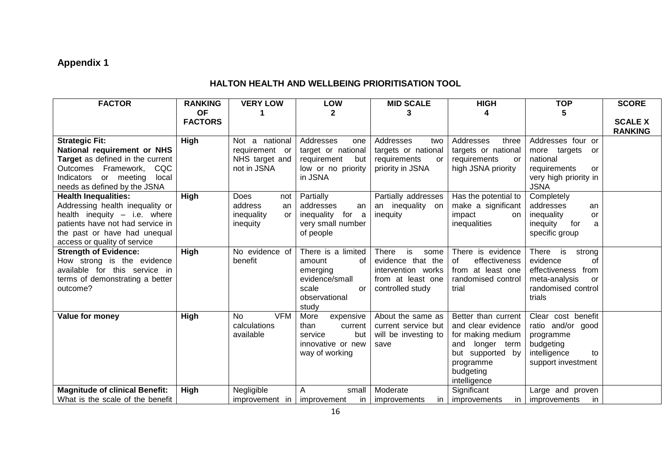# **Appendix 1**

# **HALTON HEALTH AND WELLBEING PRIORITISATION TOOL**

| <b>FACTOR</b>                                                                                                                                                                                      | <b>RANKING</b>              | <b>VERY LOW</b>                                                     | LOW                                                                                                              | <b>MID SCALE</b>                                                                                               | <b>HIGH</b>                                                                                                                                        | <b>TOP</b>                                                                                                                         | <b>SCORE</b>                     |
|----------------------------------------------------------------------------------------------------------------------------------------------------------------------------------------------------|-----------------------------|---------------------------------------------------------------------|------------------------------------------------------------------------------------------------------------------|----------------------------------------------------------------------------------------------------------------|----------------------------------------------------------------------------------------------------------------------------------------------------|------------------------------------------------------------------------------------------------------------------------------------|----------------------------------|
|                                                                                                                                                                                                    | <b>OF</b><br><b>FACTORS</b> |                                                                     | 2                                                                                                                |                                                                                                                |                                                                                                                                                    |                                                                                                                                    | <b>SCALE X</b><br><b>RANKING</b> |
| <b>Strategic Fit:</b><br>National requirement or NHS<br>Target as defined in the current<br>Outcomes Framework,<br>CQC<br>or meeting<br>Indicators<br>local<br>needs as defined by the JSNA        | <b>High</b>                 | Not a national<br>requirement or<br>NHS target and<br>not in JSNA   | Addresses<br>one<br>target or national<br>requirement<br>but<br>low or no priority<br>in JSNA                    | Addresses<br>two<br>targets or national<br>requirements<br>or<br>priority in JSNA                              | Addresses<br>three<br>targets or national<br>requirements<br>or<br>high JSNA priority                                                              | Addresses four or<br>more targets<br>or<br>national<br>requirements<br>or<br>very high priority in<br><b>JSNA</b>                  |                                  |
| <b>Health Inequalities:</b><br>Addressing health inequality or<br>health inequity - i.e. where<br>patients have not had service in<br>the past or have had unequal<br>access or quality of service | High                        | <b>Does</b><br>not<br>address<br>an<br>inequality<br>or<br>inequity | Partially<br>addresses<br>an<br>inequality<br>for<br>a<br>very small number<br>of people                         | Partially addresses<br>an inequality<br>on<br>inequity                                                         | Has the potential to<br>make a significant<br>impact<br>on<br>inequalities                                                                         | Completely<br>addresses<br>an<br>inequality<br>or<br>inequity<br>for<br>a<br>specific group                                        |                                  |
| <b>Strength of Evidence:</b><br>How strong is the evidence<br>available for this service in<br>terms of demonstrating a better<br>outcome?                                                         | High                        | No evidence of<br>benefit                                           | There is a limited<br>οf<br>amount<br>emerging<br>evidence/small<br>scale<br><b>or</b><br>observational<br>study | <b>There</b><br>is<br>some<br>evidence that the<br>intervention works<br>from at least one<br>controlled study | There is evidence<br>effectiveness<br>0f<br>from at least one<br>randomised control<br>trial                                                       | <b>There</b><br>is<br>strong<br>evidence<br>οf<br>effectiveness from<br>meta-analysis<br><b>or</b><br>randomised control<br>trials |                                  |
| Value for money                                                                                                                                                                                    | High                        | <b>VFM</b><br>No<br>calculations<br>available                       | More<br>expensive<br>than<br>current<br>but<br>service<br>innovative or new<br>way of working                    | About the same as<br>current service but<br>will be investing to<br>save                                       | Better than current<br>and clear evidence<br>for making medium<br>longer term<br>and<br>but supported by<br>programme<br>budgeting<br>intelligence | Clear cost benefit<br>ratio and/or good<br>programme<br>budgeting<br>intelligence<br>to<br>support investment                      |                                  |
| <b>Magnitude of clinical Benefit:</b><br>What is the scale of the benefit                                                                                                                          | High                        | Negligible<br>improvement in                                        | A<br>small<br>improvement<br>in.                                                                                 | Moderate<br>improvements<br>in.                                                                                | Significant<br>improvements<br>in.                                                                                                                 | Large and proven<br>improvements<br>in.                                                                                            |                                  |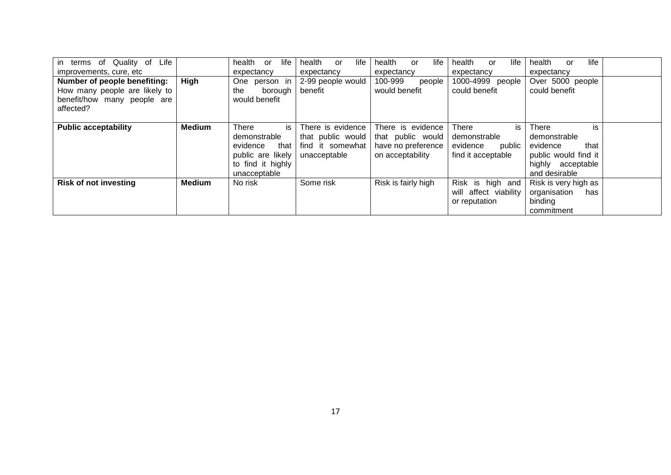| in terms of Quality of<br>Life |               | health            | or      | life       | health            | <b>or</b>  | life | health              | or | life       | health                | or | life   | health               | or | life |  |
|--------------------------------|---------------|-------------------|---------|------------|-------------------|------------|------|---------------------|----|------------|-----------------------|----|--------|----------------------|----|------|--|
| improvements, cure, etc        |               | expectancy        |         | expectancy |                   | expectancy |      | expectancy          |    | expectancy |                       |    |        |                      |    |      |  |
| Number of people benefiting:   | High          | One person in     |         |            | 2-99 people would |            |      | 100-999             |    | people     | 1000-4999 people      |    |        | Over 5000 people     |    |      |  |
| How many people are likely to  |               | the               | borough |            | benefit           |            |      | would benefit       |    |            | could benefit         |    |        | could benefit        |    |      |  |
| benefit/how many people are    |               | would benefit     |         |            |                   |            |      |                     |    |            |                       |    |        |                      |    |      |  |
| affected?                      |               |                   |         |            |                   |            |      |                     |    |            |                       |    |        |                      |    |      |  |
|                                |               |                   |         |            |                   |            |      |                     |    |            |                       |    |        |                      |    |      |  |
| <b>Public acceptability</b>    | <b>Medium</b> | There             |         | is l       | There is evidence |            |      | There is evidence   |    |            | <b>There</b>          |    | is     | There                |    | is   |  |
|                                |               | demonstrable      |         |            | that public would |            |      | that public would   |    |            | demonstrable          |    |        | demonstrable         |    |      |  |
|                                |               | evidence          |         | that       | find it somewhat  |            |      | have no preference  |    |            | evidence              |    | public | evidence             |    | that |  |
|                                |               | public are likely |         |            | unacceptable      |            |      | on acceptability    |    |            | find it acceptable    |    |        | public would find it |    |      |  |
|                                |               | to find it highly |         |            |                   |            |      |                     |    |            |                       |    |        | highly acceptable    |    |      |  |
|                                |               | unacceptable      |         |            |                   |            |      |                     |    |            |                       |    |        | and desirable        |    |      |  |
| <b>Risk of not investing</b>   | <b>Medium</b> | No risk           |         |            | Some risk         |            |      | Risk is fairly high |    |            | Risk is high and      |    |        | Risk is very high as |    |      |  |
|                                |               |                   |         |            |                   |            |      |                     |    |            | will affect viability |    |        | organisation         |    | has  |  |
|                                |               |                   |         |            |                   |            |      |                     |    |            | or reputation         |    |        | binding              |    |      |  |
|                                |               |                   |         |            |                   |            |      |                     |    |            |                       |    |        | commitment           |    |      |  |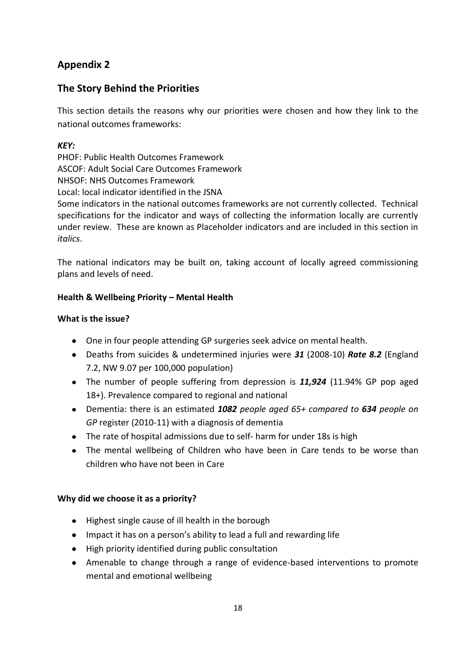# **Appendix 2**

# **The Story Behind the Priorities**

This section details the reasons why our priorities were chosen and how they link to the national outcomes frameworks:

## *KEY:*

PHOF: Public Health Outcomes Framework ASCOF: Adult Social Care Outcomes Framework NHSOF: NHS Outcomes Framework Local: local indicator identified in the JSNA Some indicators in the national outcomes frameworks are not currently collected. Technical specifications for the indicator and ways of collecting the information locally are currently under review. These are known as Placeholder indicators and are included in this section in *italics*.

The national indicators may be built on, taking account of locally agreed commissioning plans and levels of need.

## **Health & Wellbeing Priority – Mental Health**

## **What is the issue?**

- One in four people attending GP surgeries seek advice on mental health.
- Deaths from suicides & undetermined injuries were *31* (2008-10) *Rate 8.2* (England 7.2, NW 9.07 per 100,000 population)
- The number of people suffering from depression is *11,924* (11.94% GP pop aged 18+). Prevalence compared to regional and national
- Dementia: there is an estimated *1082 people aged 65+ compared to 634 people on GP* register (2010-11) with a diagnosis of dementia
- The rate of hospital admissions due to self- harm for under 18s is high
- The mental wellbeing of Children who have been in Care tends to be worse than children who have not been in Care

## **Why did we choose it as a priority?**

- Highest single cause of ill health in the borough
- Impact it has on a person's ability to lead a full and rewarding life
- High priority identified during public consultation
- Amenable to change through a range of evidence-based interventions to promote mental and emotional wellbeing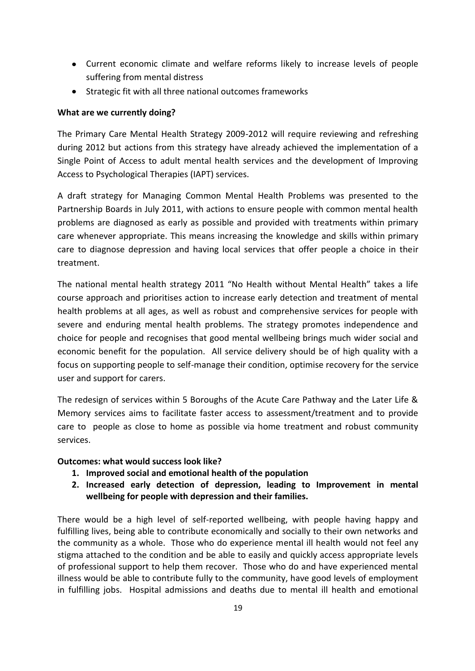- Current economic climate and welfare reforms likely to increase levels of people suffering from mental distress
- Strategic fit with all three national outcomes frameworks

#### **What are we currently doing?**

The Primary Care Mental Health Strategy 2009-2012 will require reviewing and refreshing during 2012 but actions from this strategy have already achieved the implementation of a Single Point of Access to adult mental health services and the development of Improving Access to Psychological Therapies (IAPT) services.

A draft strategy for Managing Common Mental Health Problems was presented to the Partnership Boards in July 2011, with actions to ensure people with common mental health problems are diagnosed as early as possible and provided with treatments within primary care whenever appropriate. This means increasing the knowledge and skills within primary care to diagnose depression and having local services that offer people a choice in their treatment.

The national mental health strategy 2011 "No Health without Mental Health" takes a life course approach and prioritises action to increase early detection and treatment of mental health problems at all ages, as well as robust and comprehensive services for people with severe and enduring mental health problems. The strategy promotes independence and choice for people and recognises that good mental wellbeing brings much wider social and economic benefit for the population. All service delivery should be of high quality with a focus on supporting people to self-manage their condition, optimise recovery for the service user and support for carers.

The redesign of services within 5 Boroughs of the Acute Care Pathway and the Later Life & Memory services aims to facilitate faster access to assessment/treatment and to provide care to people as close to home as possible via home treatment and robust community services.

## **Outcomes: what would success look like?**

- **1. Improved social and emotional health of the population**
- **2. Increased early detection of depression, leading to Improvement in mental wellbeing for people with depression and their families.**

There would be a high level of self-reported wellbeing, with people having happy and fulfilling lives, being able to contribute economically and socially to their own networks and the community as a whole. Those who do experience mental ill health would not feel any stigma attached to the condition and be able to easily and quickly access appropriate levels of professional support to help them recover. Those who do and have experienced mental illness would be able to contribute fully to the community, have good levels of employment in fulfilling jobs. Hospital admissions and deaths due to mental ill health and emotional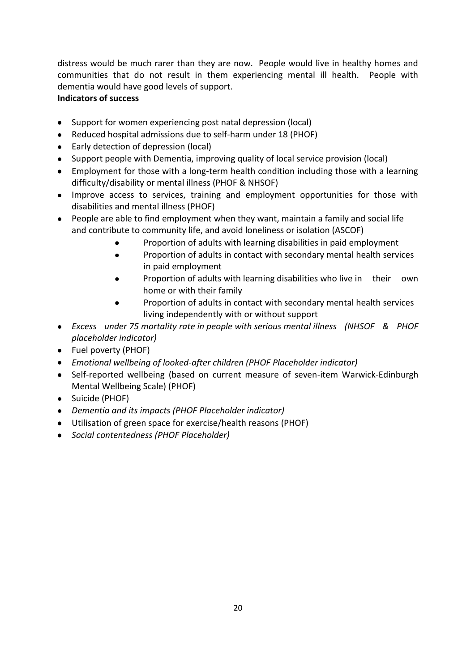distress would be much rarer than they are now. People would live in healthy homes and communities that do not result in them experiencing mental ill health. People with dementia would have good levels of support.

# **Indicators of success**

- Support for women experiencing post natal depression (local)
- Reduced hospital admissions due to self-harm under 18 (PHOF)
- Early detection of depression (local)
- Support people with Dementia, improving quality of local service provision (local)
- Employment for those with a long-term health condition including those with a learning difficulty/disability or mental illness (PHOF & NHSOF)
- Improve access to services, training and employment opportunities for those with disabilities and mental illness (PHOF)
- People are able to find employment when they want, maintain a family and social life and contribute to community life, and avoid loneliness or isolation (ASCOF)
	- Proportion of adults with learning disabilities in paid employment
	- Proportion of adults in contact with secondary mental health services  $\bullet$ in paid employment
	- Proportion of adults with learning disabilities who live in their own home or with their family
	- Proportion of adults in contact with secondary mental health services living independently with or without support
- *Excess under 75 mortality rate in people with serious mental illness (NHSOF & PHOF placeholder indicator)*
- Fuel poverty (PHOF)
- *Emotional wellbeing of looked-after children (PHOF Placeholder indicator)*
- Self-reported wellbeing (based on current measure of seven-item Warwick-Edinburgh Mental Wellbeing Scale) (PHOF)
- Suicide (PHOF)
- *Dementia and its impacts (PHOF Placeholder indicator)*
- Utilisation of green space for exercise/health reasons (PHOF)
- *Social contentedness (PHOF Placeholder)*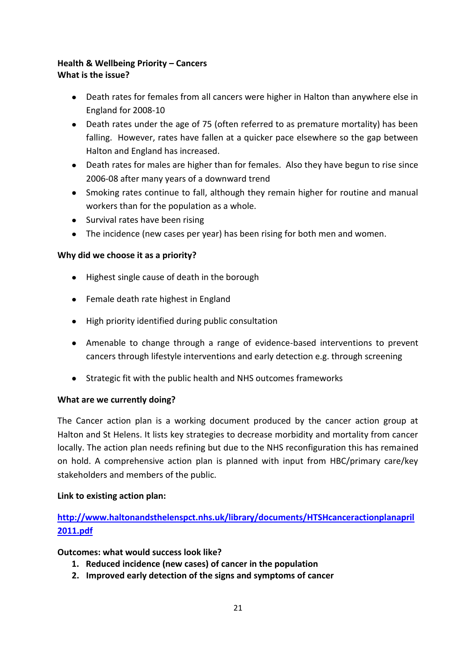#### **Health & Wellbeing Priority – Cancers What is the issue?**

- Death rates for females from all cancers were higher in Halton than anywhere else in  $\bullet$ England for 2008-10
- Death rates under the age of 75 (often referred to as premature mortality) has been falling. However, rates have fallen at a quicker pace elsewhere so the gap between Halton and England has increased.
- Death rates for males are higher than for females. Also they have begun to rise since 2006-08 after many years of a downward trend
- Smoking rates continue to fall, although they remain higher for routine and manual workers than for the population as a whole.
- Survival rates have been rising
- The incidence (new cases per year) has been rising for both men and women.

# **Why did we choose it as a priority?**

- Highest single cause of death in the borough
- Female death rate highest in England
- $\bullet$  High priority identified during public consultation
- Amenable to change through a range of evidence-based interventions to prevent cancers through lifestyle interventions and early detection e.g. through screening
- Strategic fit with the public health and NHS outcomes frameworks  $\bullet$

## **What are we currently doing?**

The Cancer action plan is a working document produced by the cancer action group at Halton and St Helens. It lists key strategies to decrease morbidity and mortality from cancer locally. The action plan needs refining but due to the NHS reconfiguration this has remained on hold. A comprehensive action plan is planned with input from HBC/primary care/key stakeholders and members of the public.

## **Link to existing action plan:**

**[http://www.haltonandsthelenspct.nhs.uk/library/documents/HTSHcanceractionplanapril](http://www.haltonandsthelenspct.nhs.uk/library/documents/HTSHcanceractionplanapril2011.pdf) [2011.pdf](http://www.haltonandsthelenspct.nhs.uk/library/documents/HTSHcanceractionplanapril2011.pdf)**

## **Outcomes: what would success look like?**

- **1. Reduced incidence (new cases) of cancer in the population**
- **2. Improved early detection of the signs and symptoms of cancer**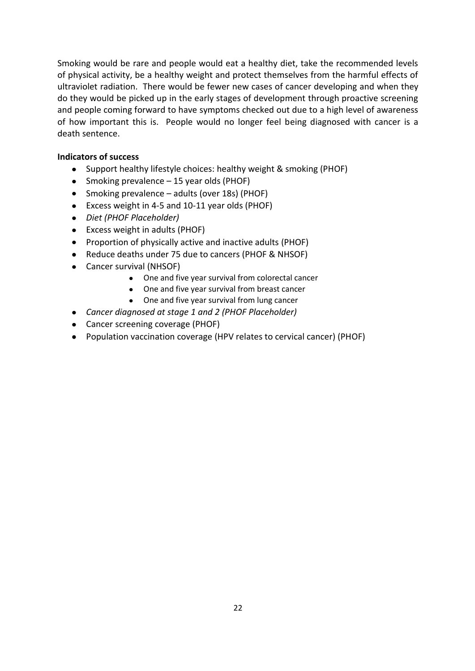Smoking would be rare and people would eat a healthy diet, take the recommended levels of physical activity, be a healthy weight and protect themselves from the harmful effects of ultraviolet radiation. There would be fewer new cases of cancer developing and when they do they would be picked up in the early stages of development through proactive screening and people coming forward to have symptoms checked out due to a high level of awareness of how important this is. People would no longer feel being diagnosed with cancer is a death sentence.

#### **Indicators of success**

- Support healthy lifestyle choices: healthy weight & smoking (PHOF)
- Smoking prevalence 15 year olds (PHOF)
- Smoking prevalence adults (over 18s) (PHOF)
- Excess weight in 4-5 and 10-11 year olds (PHOF)
- *Diet (PHOF Placeholder)*
- Excess weight in adults (PHOF)
- Proportion of physically active and inactive adults (PHOF)
- Reduce deaths under 75 due to cancers (PHOF & NHSOF)
- Cancer survival (NHSOF)
	- One and five year survival from colorectal cancer
	- One and five year survival from breast cancer
	- One and five year survival from lung cancer
- *Cancer diagnosed at stage 1 and 2 (PHOF Placeholder)*
- Cancer screening coverage (PHOF)
- Population vaccination coverage (HPV relates to cervical cancer) (PHOF)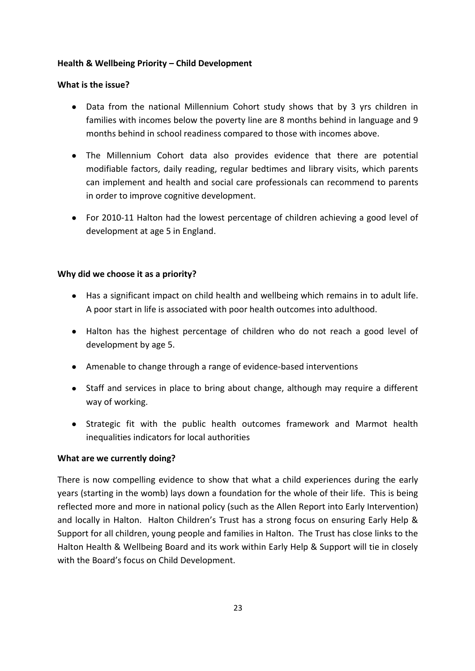#### **Health & Wellbeing Priority – Child Development**

#### **What is the issue?**

- Data from the national Millennium Cohort study shows that by 3 yrs children in families with incomes below the poverty line are 8 months behind in language and 9 months behind in school readiness compared to those with incomes above.
- The Millennium Cohort data also provides evidence that there are potential modifiable factors, daily reading, regular bedtimes and library visits, which parents can implement and health and social care professionals can recommend to parents in order to improve cognitive development.
- For 2010-11 Halton had the lowest percentage of children achieving a good level of development at age 5 in England.

#### **Why did we choose it as a priority?**

- Has a significant impact on child health and wellbeing which remains in to adult life. A poor start in life is associated with poor health outcomes into adulthood.
- Halton has the highest percentage of children who do not reach a good level of development by age 5.
- Amenable to change through a range of evidence-based interventions
- Staff and services in place to bring about change, although may require a different way of working.
- Strategic fit with the public health outcomes framework and Marmot health inequalities indicators for local authorities

## **What are we currently doing?**

There is now compelling evidence to show that what a child experiences during the early years (starting in the womb) lays down a foundation for the whole of their life. This is being reflected more and more in national policy (such as the Allen Report into Early Intervention) and locally in Halton. Halton Children's Trust has a strong focus on ensuring Early Help & Support for all children, young people and families in Halton. The Trust has close links to the Halton Health & Wellbeing Board and its work within Early Help & Support will tie in closely with the Board's focus on Child Development.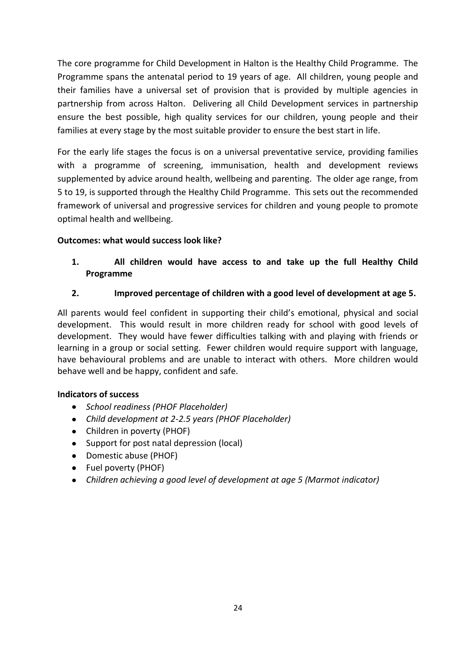The core programme for Child Development in Halton is the Healthy Child Programme. The Programme spans the antenatal period to 19 years of age. All children, young people and their families have a universal set of provision that is provided by multiple agencies in partnership from across Halton. Delivering all Child Development services in partnership ensure the best possible, high quality services for our children, young people and their families at every stage by the most suitable provider to ensure the best start in life.

For the early life stages the focus is on a universal preventative service, providing families with a programme of screening, immunisation, health and development reviews supplemented by advice around health, wellbeing and parenting. The older age range, from 5 to 19, is supported through the Healthy Child Programme. This sets out the recommended framework of universal and progressive services for children and young people to promote optimal health and wellbeing.

## **Outcomes: what would success look like?**

# **1. All children would have access to and take up the full Healthy Child Programme**

# **2. Improved percentage of children with a good level of development at age 5.**

All parents would feel confident in supporting their child's emotional, physical and social development. This would result in more children ready for school with good levels of development. They would have fewer difficulties talking with and playing with friends or learning in a group or social setting. Fewer children would require support with language, have behavioural problems and are unable to interact with others. More children would behave well and be happy, confident and safe.

## **Indicators of success**

- *School readiness (PHOF Placeholder)*
- *Child development at 2-2.5 years (PHOF Placeholder)*
- Children in poverty (PHOF)
- Support for post natal depression (local)
- Domestic abuse (PHOF)
- Fuel poverty (PHOF)
- *Children achieving a good level of development at age 5 (Marmot indicator)* $\bullet$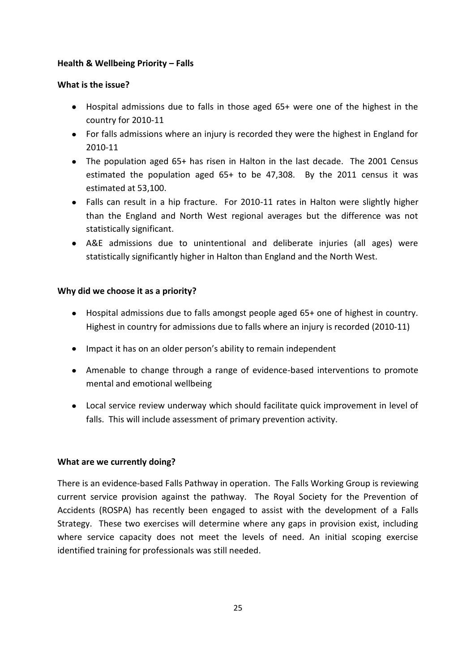#### **Health & Wellbeing Priority – Falls**

#### **What is the issue?**

- Hospital admissions due to falls in those aged 65+ were one of the highest in the country for 2010-11
- For falls admissions where an injury is recorded they were the highest in England for 2010-11
- The population aged 65+ has risen in Halton in the last decade. The 2001 Census estimated the population aged 65+ to be 47,308. By the 2011 census it was estimated at 53,100.
- Falls can result in a hip fracture. For 2010-11 rates in Halton were slightly higher than the England and North West regional averages but the difference was not statistically significant.
- A&E admissions due to unintentional and deliberate injuries (all ages) were statistically significantly higher in Halton than England and the North West.

#### **Why did we choose it as a priority?**

- Hospital admissions due to falls amongst people aged 65+ one of highest in country. Highest in country for admissions due to falls where an injury is recorded (2010-11)
- Impact it has on an older person's ability to remain independent
- Amenable to change through a range of evidence-based interventions to promote mental and emotional wellbeing
- Local service review underway which should facilitate quick improvement in level of falls. This will include assessment of primary prevention activity.

#### **What are we currently doing?**

There is an evidence-based Falls Pathway in operation. The Falls Working Group is reviewing current service provision against the pathway. The Royal Society for the Prevention of Accidents (ROSPA) has recently been engaged to assist with the development of a Falls Strategy. These two exercises will determine where any gaps in provision exist, including where service capacity does not meet the levels of need. An initial scoping exercise identified training for professionals was still needed.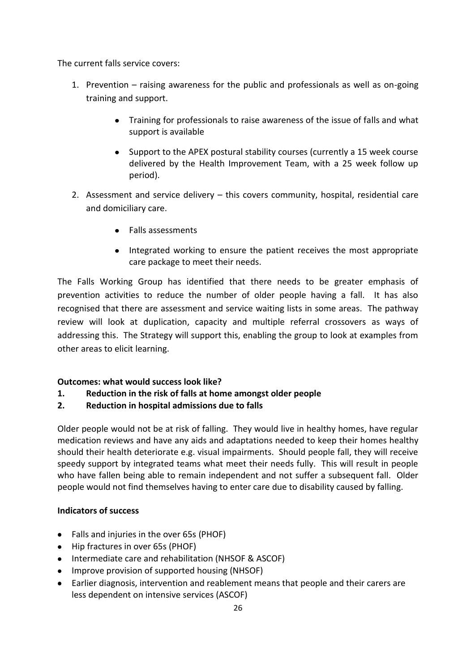The current falls service covers:

- 1. Prevention raising awareness for the public and professionals as well as on-going training and support.
	- Training for professionals to raise awareness of the issue of falls and what support is available
	- Support to the APEX postural stability courses (currently a 15 week course delivered by the Health Improvement Team, with a 25 week follow up period).
- 2. Assessment and service delivery this covers community, hospital, residential care and domiciliary care.
	- Falls assessments
	- Integrated working to ensure the patient receives the most appropriate care package to meet their needs.

The Falls Working Group has identified that there needs to be greater emphasis of prevention activities to reduce the number of older people having a fall. It has also recognised that there are assessment and service waiting lists in some areas. The pathway review will look at duplication, capacity and multiple referral crossovers as ways of addressing this. The Strategy will support this, enabling the group to look at examples from other areas to elicit learning.

## **Outcomes: what would success look like?**

- **1. Reduction in the risk of falls at home amongst older people**
- **2. Reduction in hospital admissions due to falls**

Older people would not be at risk of falling. They would live in healthy homes, have regular medication reviews and have any aids and adaptations needed to keep their homes healthy should their health deteriorate e.g. visual impairments. Should people fall, they will receive speedy support by integrated teams what meet their needs fully. This will result in people who have fallen being able to remain independent and not suffer a subsequent fall. Older people would not find themselves having to enter care due to disability caused by falling.

## **Indicators of success**

- Falls and injuries in the over 65s (PHOF)
- Hip fractures in over 65s (PHOF)
- Intermediate care and rehabilitation (NHSOF & ASCOF)
- Improve provision of supported housing (NHSOF)
- Earlier diagnosis, intervention and reablement means that people and their carers are less dependent on intensive services (ASCOF)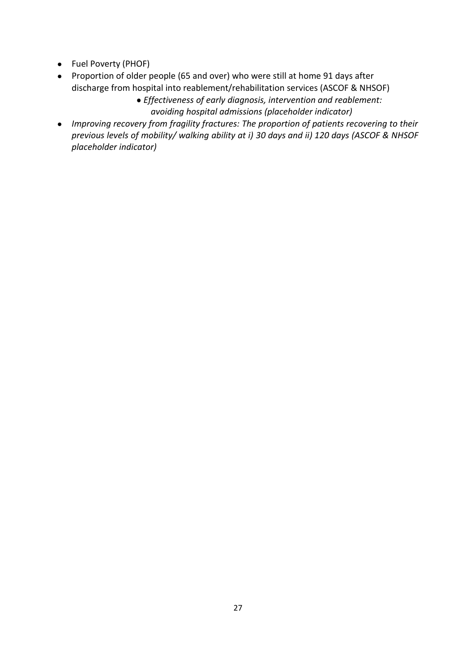- Fuel Poverty (PHOF)
- Proportion of older people (65 and over) who were still at home 91 days after discharge from hospital into reablement/rehabilitation services (ASCOF & NHSOF)
	- *Effectiveness of early diagnosis, intervention and reablement: avoiding hospital admissions (placeholder indicator)*
- *Improving recovery from fragility fractures: The proportion of patients recovering to their previous levels of mobility/ walking ability at i) 30 days and ii) 120 days (ASCOF & NHSOF placeholder indicator)*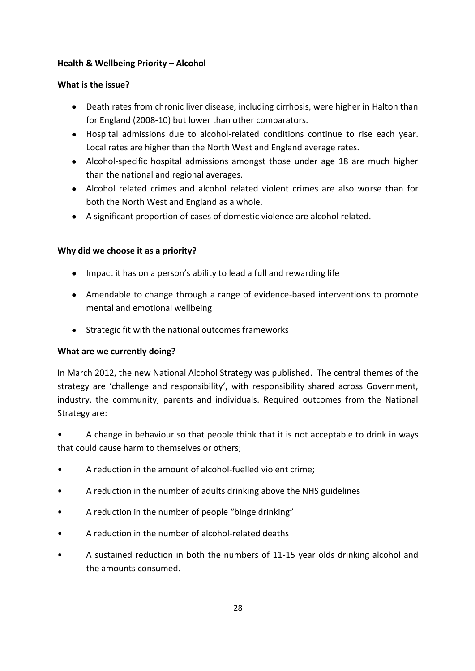#### **Health & Wellbeing Priority – Alcohol**

#### **What is the issue?**

- Death rates from chronic liver disease, including cirrhosis, were higher in Halton than for England (2008-10) but lower than other comparators.
- Hospital admissions due to alcohol-related conditions continue to rise each year. Local rates are higher than the North West and England average rates.
- Alcohol-specific hospital admissions amongst those under age 18 are much higher than the national and regional averages.
- Alcohol related crimes and alcohol related violent crimes are also worse than for both the North West and England as a whole.
- A significant proportion of cases of domestic violence are alcohol related.

## **Why did we choose it as a priority?**

- Impact it has on a person's ability to lead a full and rewarding life
- Amendable to change through a range of evidence-based interventions to promote mental and emotional wellbeing
- Strategic fit with the national outcomes frameworks

## **What are we currently doing?**

In March 2012, the new National Alcohol Strategy was published. The central themes of the strategy are 'challenge and responsibility', with responsibility shared across Government, industry, the community, parents and individuals. Required outcomes from the National Strategy are:

• A change in behaviour so that people think that it is not acceptable to drink in ways that could cause harm to themselves or others;

- A reduction in the amount of alcohol-fuelled violent crime;
- A reduction in the number of adults drinking above the NHS guidelines
- A reduction in the number of people "binge drinking"
- A reduction in the number of alcohol-related deaths
- A sustained reduction in both the numbers of 11-15 year olds drinking alcohol and the amounts consumed.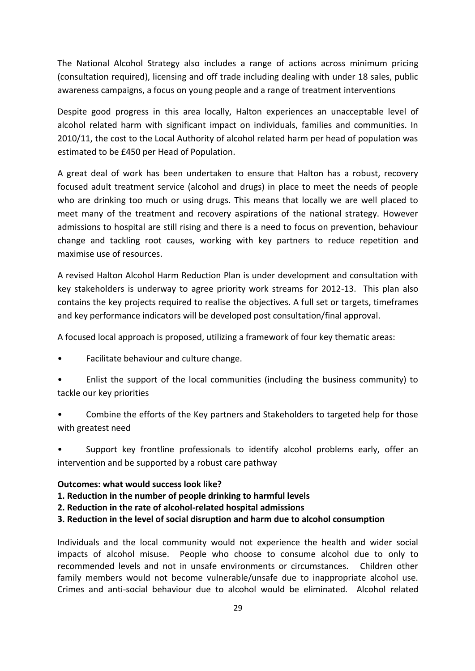The National Alcohol Strategy also includes a range of actions across minimum pricing (consultation required), licensing and off trade including dealing with under 18 sales, public awareness campaigns, a focus on young people and a range of treatment interventions

Despite good progress in this area locally, Halton experiences an unacceptable level of alcohol related harm with significant impact on individuals, families and communities. In 2010/11, the cost to the Local Authority of alcohol related harm per head of population was estimated to be £450 per Head of Population.

A great deal of work has been undertaken to ensure that Halton has a robust, recovery focused adult treatment service (alcohol and drugs) in place to meet the needs of people who are drinking too much or using drugs. This means that locally we are well placed to meet many of the treatment and recovery aspirations of the national strategy. However admissions to hospital are still rising and there is a need to focus on prevention, behaviour change and tackling root causes, working with key partners to reduce repetition and maximise use of resources.

A revised Halton Alcohol Harm Reduction Plan is under development and consultation with key stakeholders is underway to agree priority work streams for 2012-13. This plan also contains the key projects required to realise the objectives. A full set or targets, timeframes and key performance indicators will be developed post consultation/final approval.

A focused local approach is proposed, utilizing a framework of four key thematic areas:

- Facilitate behaviour and culture change.
- Enlist the support of the local communities (including the business community) to tackle our key priorities
- Combine the efforts of the Key partners and Stakeholders to targeted help for those with greatest need
- Support key frontline professionals to identify alcohol problems early, offer an intervention and be supported by a robust care pathway

#### **Outcomes: what would success look like?**

- **1. Reduction in the number of people drinking to harmful levels**
- **2. Reduction in the rate of alcohol-related hospital admissions**
- **3. Reduction in the level of social disruption and harm due to alcohol consumption**

Individuals and the local community would not experience the health and wider social impacts of alcohol misuse. People who choose to consume alcohol due to only to recommended levels and not in unsafe environments or circumstances. Children other family members would not become vulnerable/unsafe due to inappropriate alcohol use. Crimes and anti-social behaviour due to alcohol would be eliminated. Alcohol related